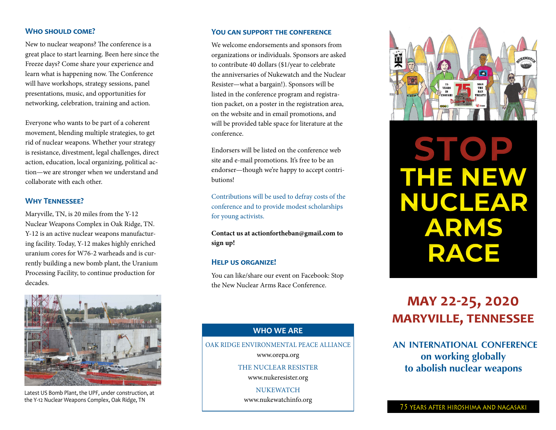#### **Who should come?**

New to nuclear weapons? The conference is a great place to start learning. Been here since the Freeze days? Come share your experience and learn what is happening now. The Conference will have workshops, strategy sessions, panel presentations, music, and opportunities for networking, celebration, training and action.

Everyone who wants to be part of a coherent movement, blending multiple strategies, to get rid of nuclear weapons. Whether your strategy is resistance, divestment, legal challenges, direct action, education, local organizing, political action—we are stronger when we understand and collaborate with each other.

#### **Why Tennessee?**

Maryville, TN, is 20 miles from the Y-12 Nuclear Weapons Complex in Oak Ridge, TN. Y-12 is an active nuclear weapons manufacturing facility. Today, Y-12 makes highly enriched uranium cores for W76-2 warheads and is currently building a new bomb plant, the Uranium Processing Facility, to continue production for decades.



Latest US Bomb Plant, the UPF, under construction, at the Y-12 Nuclear Weapons Complex, Oak Ridge, TN

#### **You can support the conference**

We welcome endorsements and sponsors from organizations or individuals. Sponsors are asked to contribute 40 dollars (\$1/year to celebrate the anniversaries of Nukewatch and the Nuclear Resister—what a bargain!). Sponsors will be listed in the conference program and registration packet, on a poster in the registration area, on the website and in email promotions, and will be provided table space for literature at the conference.

Endorsers will be listed on the conference web site and e-mail promotions. It's free to be an endorser—though we're happy to accept contributions!

Contributions will be used to defray costs of the conference and to provide modest scholarships for young activists.

**Contact us at actionfortheban@gmail.com to sign up!**

#### **Help us organize!**

You can like/share our event on Facebook: Stop the New Nuclear Arms Race Conference.

## **WHO WE ARE**

oak ridge environmental peace alliance www.orepa.org the nuclear resister www.nukeresister.org **NUKEWATCH** 

www.nukewatchinfo.org



# **STOP THE NEW NUCLEAR ARMS RACE**

# **may 22-25, 2020 maryville, tennessee**

**an international conference on working globally to abolish nuclear weapons**